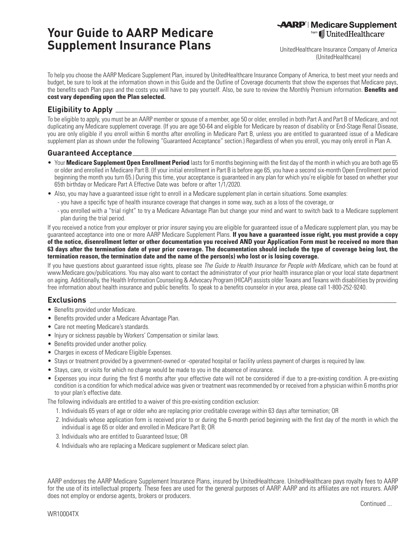# **Your Guide to AARP Medicare Supplement Insurance Plans**

**AARP** | Medicare Supplement from Ill UnitedHealthcare<sup>®</sup>

**althcare Insurance Company of America (UnitedHealthcare)**

**To help you choose the AARP Medicare Supplement Plan, insured by UnitedHealthcare Insurance Company of America, to best meet your needs and budget, be sure to look at the information shown in this Guide and the Outline of Coverage documents that show the expenses that Medicare pays, the benefits each Plan pays and the costs you will have to pay yourself. Also, be sure to review the Monthly Premium information. Benefits and cost vary depending upon the Plan selected.**

# **Eligibility to Apply**

**To be eligible to apply, you must be an AARP member or spouse of a member, age 50 or older, enrolled in both Part A and Part B of Medicare, and not duplicating any Medicare supplement coverage. (If you are age 50-64 and eligible for Medicare by reason of disability or End-Stage Renal Disease, you are only eligible if you enroll within 6 months after enrolling in Medicare Part B, unless you are entitled to guaranteed issue of a Medicare supplement plan as shown under the following "Guaranteed Acceptance" section.) Regardless of when you enroll, you may only enroll in Plan A.**

**\_\_\_\_\_\_\_\_\_\_\_\_\_\_\_\_\_\_\_\_\_\_\_\_\_\_\_\_\_\_\_\_\_\_\_\_\_\_\_\_\_\_\_\_\_\_\_\_\_\_\_\_\_\_\_\_\_\_\_\_\_\_\_\_\_\_**

#### **Guaranteed Acceptance \_\_\_\_\_\_\_\_\_\_\_\_\_\_\_\_\_\_\_\_\_\_\_\_\_\_\_\_\_\_\_\_\_\_\_\_\_\_\_\_\_\_\_\_\_\_\_\_\_\_\_\_\_\_\_\_\_\_\_\_\_\_**

- **Your Medicare Supplement Open Enrollment Period lasts for 6 months beginning with the first day of the month in which you are both age 65 or older and enrolled in Medicare Part B. (If your initial enrollment in Part B is before age 65, you have a second six-month Open Enrollment period beginning the month you turn 65.) During this time, your acceptance is guaranteed in any plan for which you're eligible for based on whether your 65th birthday or Medicare Part A Effective Date was before or after 1/1/2020.**
- **Also, you may have a guaranteed issue right to enroll in a Medicare supplement plan in certain situations. Some examples:**
	- **you have a specific type of health insurance coverage that changes in some way, such as a loss of the coverage, or**
	- **- you enrolled with a "trial right" to try a Medicare Advantage Plan but change your mind and want to switch back to a Medicare supplement plan during the trial period.**

**If you received a notice from your employer or prior insurer saying you are eligible for guaranteed issue of a Medicare supplement plan, you may be guaranteed acceptance into one or more AARP Medicare Supplement Plans. If you have a guaranteed issue right, you must provide a copy of the notice, disenrollment letter or other documentation you received AND your Application Form must be received no more than 63 days after the termination date of your prior coverage. The documentation should include the type of coverage being lost, the termination reason, the termination date and the name of the person(s) who lost or is losing coverage.**

**If you have questions about guaranteed issue rights, please see** *The Guide to Health Insurance for People with Medicare***, which can be found at www.Medicare.gov/publications. You may also want to contact the administrator of your prior health insurance plan or your local state department on aging. Additionally, the Health Information Counseling & Advocacy Program (HICAP) assists older Texans and Texans with disabilities by providing free information about health insurance and public benefits. To speak to a benefits counselor in your area, please call 1-800-252-9240.** 

**\_\_\_\_\_\_\_\_\_\_\_\_\_\_\_\_\_\_\_\_\_\_\_\_\_\_\_\_\_\_\_\_\_\_\_\_\_\_\_\_\_\_\_\_\_\_\_\_\_\_\_\_\_\_\_\_\_\_\_\_\_\_\_\_\_\_\_\_\_\_\_\_**

### **Exclusions**

- **Benefits provided under Medicare.**
- **Benefits provided under a Medicare Advantage Plan.**
- **Care not meeting Medicare's standards.**
- **Injury or sickness payable by Workers' Compensation or similar laws.**
- **Benefits provided under another policy.**
- **Charges in excess of Medicare Eligible Expenses.**
- **Stays or treatment provided by a government-owned or -operated hospital or facility unless payment of charges is required by law.**
- **Stays, care, or visits for which no charge would be made to you in the absence of insurance.**
- Expenses you incur during the first 6 months after your effective date will not be considered if due to a pre-existing condition. A pre-existing **condition is a condition for which medical advice was given or treatment was recommended by or received from a physician within 6 months prior to your plan's effective date.**

**The following individuals are entitled to a waiver of this pre-existing condition exclusion:**

- **1. Individuals 65 years of age or older who are replacing prior creditable coverage within 63 days after termination; OR**
- **2. Individuals whose application form is received prior to or during the 6-month period beginning with the first day of the month in which the individual is age 65 or older and enrolled in Medicare Part B; OR**
- **3. Individuals who are entitled to Guaranteed Issue; OR**
- **4. Individuals who are replacing a Medicare supplement or Medicare select plan.**

**AARP endorses the AARP Medicare Supplement Insurance Plans, insured by UnitedHealthcare. UnitedHealthcare pays royalty fees to AARP for the use of its intellectual property. These fees are used for the general purposes of AARP. AARP and its affiliates are not insurers. AARP does not employ or endorse agents, brokers or producers.**